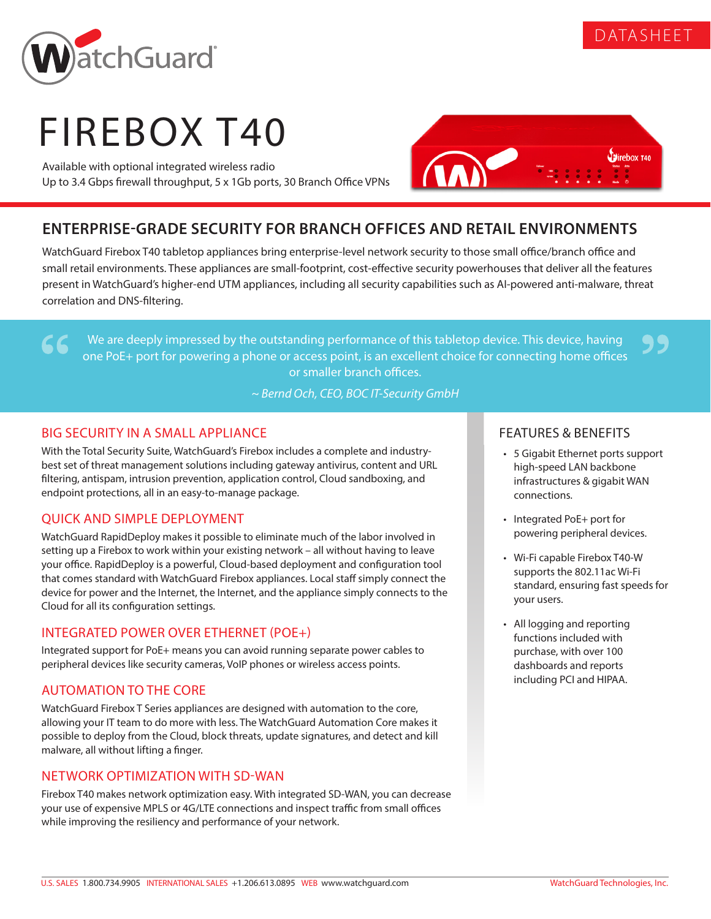

79



# FIREBOX T40

Available with optional integrated wireless radio Up to 3.4 Gbps firewall throughput, 5 x 1Gb ports, 30 Branch Office VPNs



# **ENTERPRISE-GRADE SECURITY FOR BRANCH OFFICES AND RETAIL ENVIRONMENTS**

WatchGuard Firebox T40 tabletop appliances bring enterprise-level network security to those small office/branch office and small retail environments. These appliances are small-footprint, cost-effective security powerhouses that deliver all the features present in WatchGuard's higher-end UTM appliances, including all security capabilities such as AI-powered anti-malware, threat correlation and DNS-filtering.

We are deeply impressed by the outstanding performance of this tabletop device. This device, having one PoE+ port for powering a phone or access point, is an excellent choice for connecting home offices or smaller branch offices.

*~ Bernd Och, CEO, BOC IT-Security GmbH*

## BIG SECURITY IN A SMALL APPLIANCE

66

With the Total Security Suite, WatchGuard's Firebox includes a complete and industrybest set of threat management solutions including gateway antivirus, content and URL filtering, antispam, intrusion prevention, application control, Cloud sandboxing, and endpoint protections, all in an easy-to-manage package.

# QUICK AND SIMPLE DEPLOYMENT

WatchGuard RapidDeploy makes it possible to eliminate much of the labor involved in setting up a Firebox to work within your existing network – all without having to leave your office. RapidDeploy is a powerful, Cloud-based deployment and configuration tool that comes standard with WatchGuard Firebox appliances. Local staff simply connect the device for power and the Internet, the Internet, and the appliance simply connects to the Cloud for all its configuration settings.

### INTEGRATED POWER OVER ETHERNET (POE+)

Integrated support for PoE+ means you can avoid running separate power cables to peripheral devices like security cameras, VoIP phones or wireless access points.

#### AUTOMATION TO THE CORE

WatchGuard Firebox T Series appliances are designed with automation to the core, allowing your IT team to do more with less. The WatchGuard Automation Core makes it possible to deploy from the Cloud, block threats, update signatures, and detect and kill malware, all without lifting a finger.

#### NETWORK OPTIMIZATION WITH SD-WAN

Firebox T40 makes network optimization easy. With integrated SD-WAN, you can decrease your use of expensive MPLS or 4G/LTE connections and inspect traffic from small offices while improving the resiliency and performance of your network.

#### FEATURES & BENEFITS

- 5 Gigabit Ethernet ports support high-speed LAN backbone infrastructures & gigabit WAN connections.
- Integrated PoE+ port for powering peripheral devices.
- Wi-Fi capable Firebox T40-W supports the 802.11ac Wi-Fi standard, ensuring fast speeds for your users.
- All logging and reporting functions included with purchase, with over 100 dashboards and reports including PCI and HIPAA.